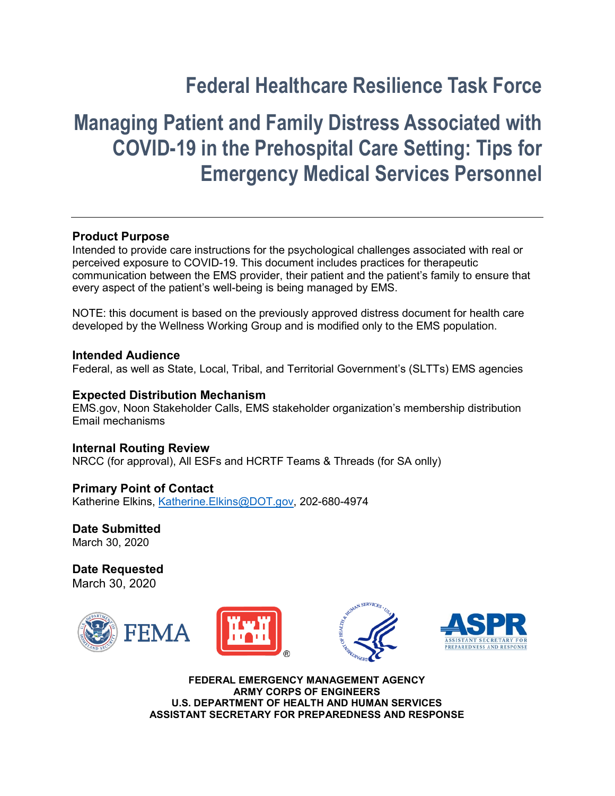## **Federal Healthcare Resilience Task Force**

# **Managing Patient and Family Distress Associated with COVID-19 in the Prehospital Care Setting: Tips for Emergency Medical Services Personnel**

## **Product Purpose**

Intended to provide care instructions for the psychological challenges associated with real or perceived exposure to COVID-19. This document includes practices for therapeutic communication between the EMS provider, their patient and the patient's family to ensure that every aspect of the patient's well-being is being managed by EMS.

NOTE: this document is based on the previously approved distress document for health care developed by the Wellness Working Group and is modified only to the EMS population.

#### **Intended Audience**

Federal, as well as State, Local, Tribal, and Territorial Government's (SLTTs) EMS agencies

#### **Expected Distribution Mechanism**

EMS.gov, Noon Stakeholder Calls, EMS stakeholder organization's membership distribution Email mechanisms

**Internal Routing Review** NRCC (for approval), All ESFs and HCRTF Teams & Threads (for SA onlly)

**Primary Point of Contact** Katherine Elkins, [Katherine.Elkins@DOT.gov,](mailto:Katherine.Elkins@DOT.gov) 202-680-4974

**Date Submitted** March 30, 2020

**Date Requested** March 30, 2020







**FEDERAL EMERGENCY MANAGEMENT AGENCY ARMY CORPS OF ENGINEERS U.S. DEPARTMENT OF HEALTH AND HUMAN SERVICES ASSISTANT SECRETARY FOR PREPAREDNESS AND RESPONSE**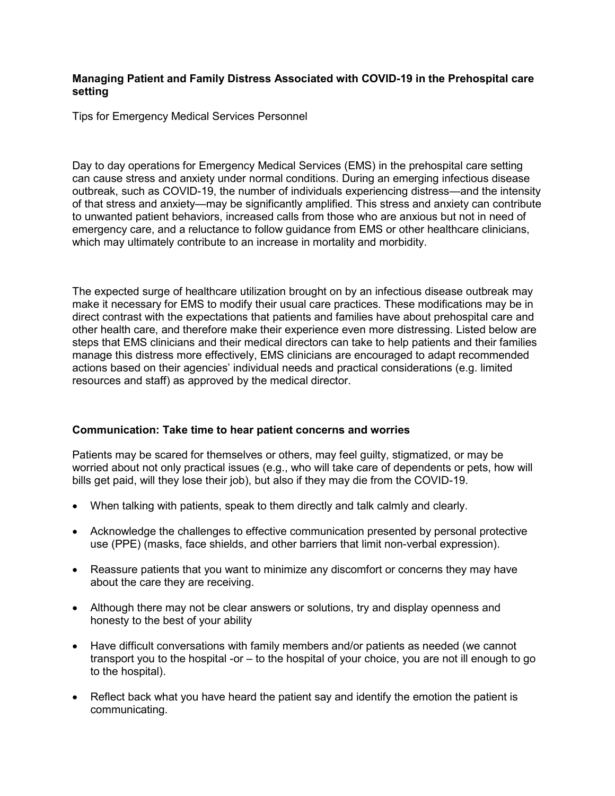### **Managing Patient and Family Distress Associated with COVID-19 in the Prehospital care setting**

Tips for Emergency Medical Services Personnel

Day to day operations for Emergency Medical Services (EMS) in the prehospital care setting can cause stress and anxiety under normal conditions. During an emerging infectious disease outbreak, such as COVID-19, the number of individuals experiencing distress—and the intensity of that stress and anxiety—may be significantly amplified. This stress and anxiety can contribute to unwanted patient behaviors, increased calls from those who are anxious but not in need of emergency care, and a reluctance to follow guidance from EMS or other healthcare clinicians, which may ultimately contribute to an increase in mortality and morbidity.

The expected surge of healthcare utilization brought on by an infectious disease outbreak may make it necessary for EMS to modify their usual care practices. These modifications may be in direct contrast with the expectations that patients and families have about prehospital care and other health care, and therefore make their experience even more distressing. Listed below are steps that EMS clinicians and their medical directors can take to help patients and their families manage this distress more effectively, EMS clinicians are encouraged to adapt recommended actions based on their agencies' individual needs and practical considerations (e.g. limited resources and staff) as approved by the medical director.

## **Communication: Take time to hear patient concerns and worries**

Patients may be scared for themselves or others, may feel guilty, stigmatized, or may be worried about not only practical issues (e.g., who will take care of dependents or pets, how will bills get paid, will they lose their job), but also if they may die from the COVID-19.

- When talking with patients, speak to them directly and talk calmly and clearly.
- Acknowledge the challenges to effective communication presented by personal protective use (PPE) (masks, face shields, and other barriers that limit non-verbal expression).
- Reassure patients that you want to minimize any discomfort or concerns they may have about the care they are receiving.
- Although there may not be clear answers or solutions, try and display openness and honesty to the best of your ability
- Have difficult conversations with family members and/or patients as needed (we cannot transport you to the hospital -or – to the hospital of your choice, you are not ill enough to go to the hospital).
- Reflect back what you have heard the patient say and identify the emotion the patient is communicating.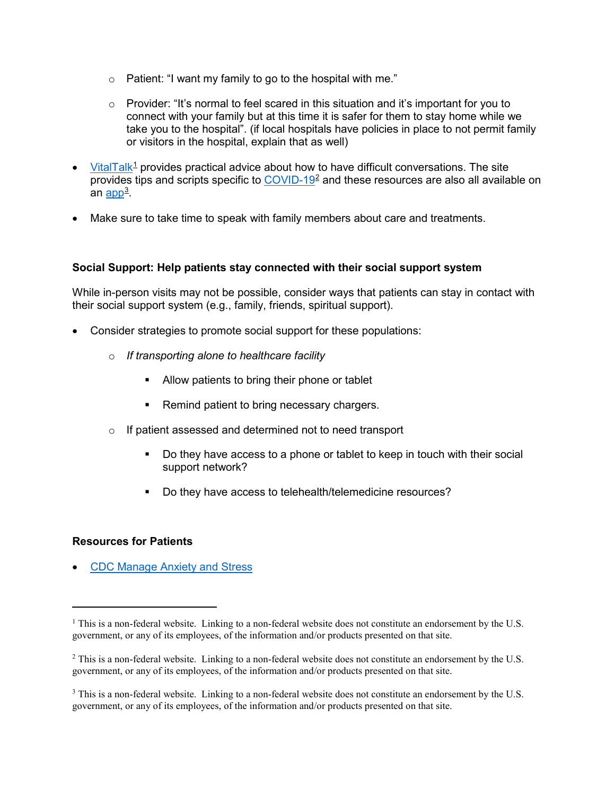- $\circ$  Patient: "I want my family to go to the hospital with me."
- $\circ$  Provider: "It's normal to feel scared in this situation and it's important for you to connect with your family but at this time it is safer for them to stay home while we take you to the hospital". (if local hospitals have policies in place to not permit family or visitors in the hospital, explain that as well)
- [VitalTalk](https://www.vitaltalk.org/)<sup>[1](#page-2-0)</sup> provides practical advice about how to have difficult conversations. The site provides tips and scripts specific to [COVID-19](https://www.vitaltalk.org/guides/covid-19-communication-skills/)<sup>[2](#page-2-1)</sup> and these resources are also all available on an <u>app</u><sup>[3](#page-2-2)</sup>.
- Make sure to take time to speak with family members about care and treatments.

## **Social Support: Help patients stay connected with their social support system**

While in-person visits may not be possible, consider ways that patients can stay in contact with their social support system (e.g., family, friends, spiritual support).

- Consider strategies to promote social support for these populations:
	- o *If transporting alone to healthcare facility*
		- **Allow patients to bring their phone or tablet**
		- Remind patient to bring necessary chargers.
	- o If patient assessed and determined not to need transport
		- Do they have access to a phone or tablet to keep in touch with their social support network?
		- Do they have access to telehealth/telemedicine resources?

## **Resources for Patients**

 $\overline{a}$ 

• [CDC Manage Anxiety and Stress](https://www.cdc.gov/coronavirus/2019-ncov/prepare/managing-stress-anxiety.html?CDC_AA_refVal=https%3A%2F%2Fwww.cdc.gov%2Fcoronavirus%2F2019-ncov%2Fabout%2Fcoping.html)

<span id="page-2-0"></span> $1$  This is a non-federal website. Linking to a non-federal website does not constitute an endorsement by the U.S. government, or any of its employees, of the information and/or products presented on that site.

<span id="page-2-1"></span><sup>&</sup>lt;sup>2</sup> This is a non-federal website. Linking to a non-federal website does not constitute an endorsement by the U.S. government, or any of its employees, of the information and/or products presented on that site.

<span id="page-2-2"></span><sup>&</sup>lt;sup>3</sup> This is a non-federal website. Linking to a non-federal website does not constitute an endorsement by the U.S. government, or any of its employees, of the information and/or products presented on that site.